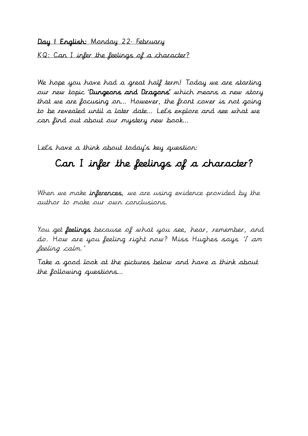Day I English: Monday 22<sup>1</sup> February

KQ: Can I infer the feelings of a character?

We hope you have had a great half term! Today we are starting our new topic 'Dungeons and Dragons' which means a new story that we are focusing on… However, the front cover is not going to be revealed until a later date… Let's explore and see what we can find out about our mystery new book…

Let's have a think about today's key question:

# Can I infer the feelings of a character?

When we make inferences, we are using evidence provided by the author to make our own conclusions.

You get feelings because of what you see, hear, remember, and do. How are you feeling right now? Miss Hughes says 'I am feeling calm.'

Take a good look at the pictures below and have a think about the following questions…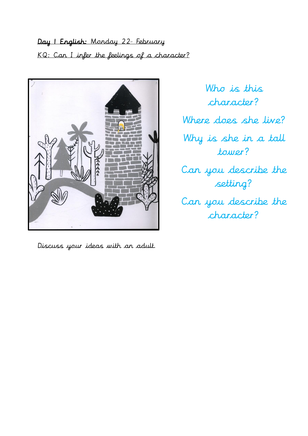Day I English: Monday 22<sup>1</sup> February KQ: Can I infer the feelings of a character?



Discuss your ideas with an adult.

Who is this character? Where does she live? Why is she in a tall tower? Can you describe the setting? Can you describe the character?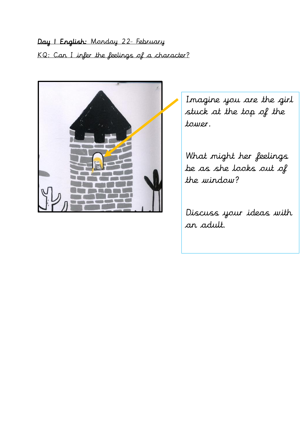Day I English: Monday 22<sup>1</sup> February KQ: Can I infer the feelings of a character?



Imagine you are the girl stuck at the top of the tower.

What might her feelings be as she looks out of the window?

Discuss your ideas with an adult.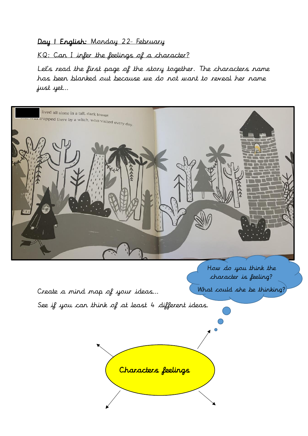#### Day 1 English: Monday 22<sup>1</sup> February

KQ: Can I infer the feelings of a character?

Let's read the first page of the story together. The characters name has been blanked out because we do not want to reveal her name just yet…

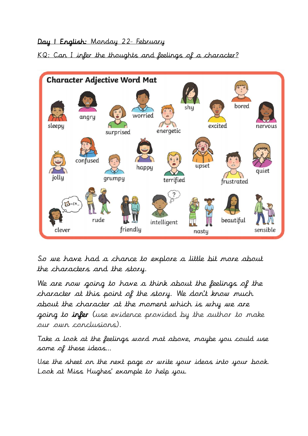### Day I English: Monday 22<sup>1</sup> February

### KQ: Can I infer the thoughts and feelings of a character?



So we have had a chance to explore a little bit more about the characters and the story.

We are now going to have a think about the feelings of the character at this point of the story. We don't know much about the character at the moment which is why we are going to infer (use evidence provided by the author to make our own conclusions).

Take a look at the feelings word mat above, maybe you could use some of these ideas…

Use the sheet on the next page or write your ideas into your book. Look at Miss Hughes' example to help you.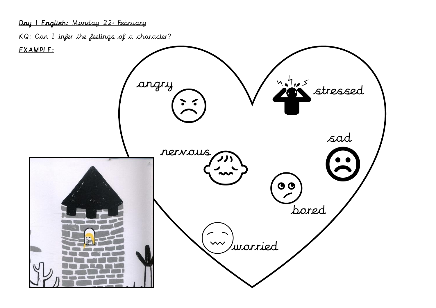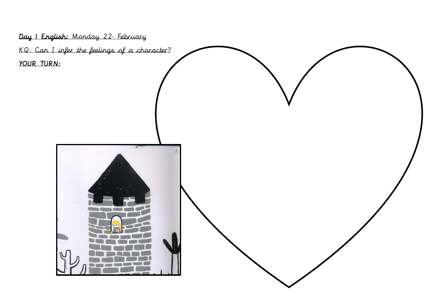